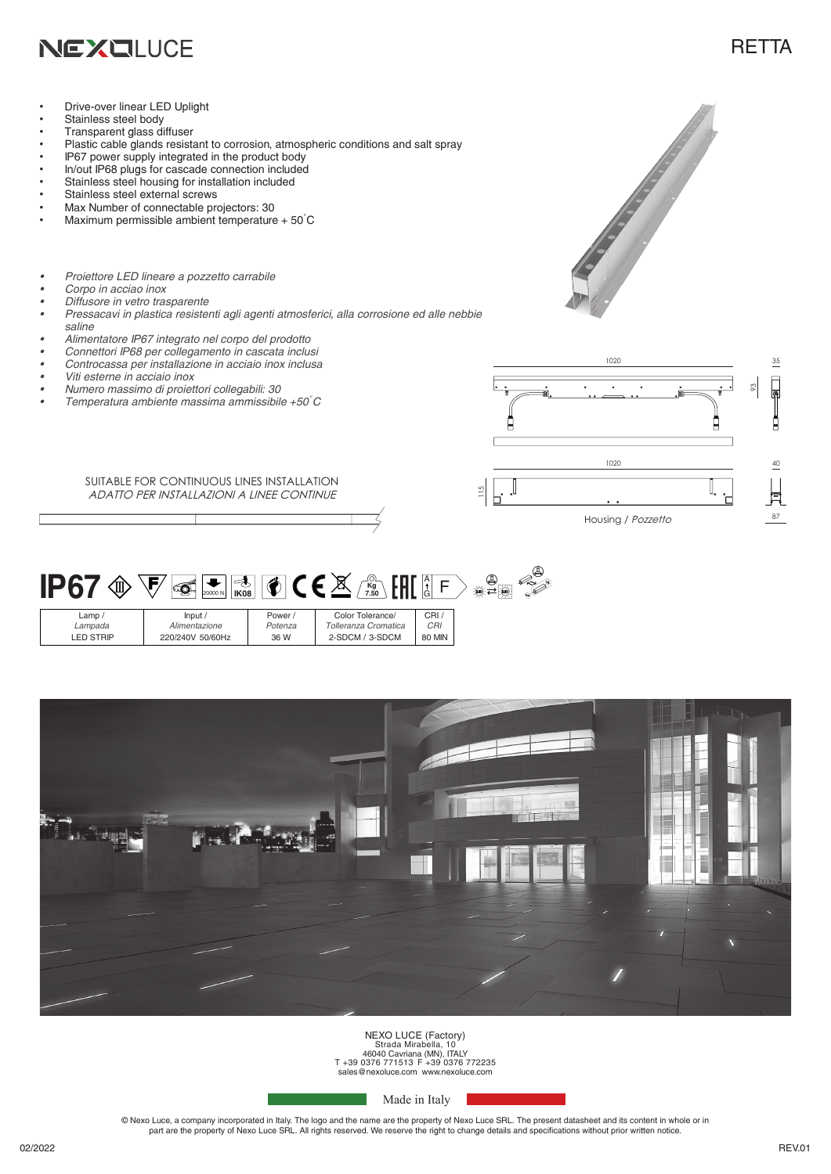

## **RETTA**

- Drive-over linear LED Uplight
- Stainless steel body
- Transparent glass diffuser
- Plastic cable glands resistant to corrosion, atmospheric conditions and salt spray
- IP67 power supply integrated in the product body
- In/out IP68 plugs for cascade connection included
- Stainless steel housing for installation included
- Stainless steel external screws
- Max Number of connectable projectors: 30
- Maximum permissible ambient temperature +  $50^{\circ}$ C
- *• Proiettore LED lineare a pozzetto carrabile*
- *• Corpo in acciao inox*
- *• Diffusore in vetro trasparente*
- *• Pressacavi in plastica resistenti agli agenti atmosferici, alla corrosione ed alle nebbie saline*
- *• Alimentatore IP67 integrato nel corpo del prodotto*
- *• Connettori IP68 per collegamento in cascata inclusi*
- *• Controcassa per installazione in acciaio inox inclusa*
- *• Viti esterne in acciaio inox*
- *• Numero massimo di proiettori collegabili: 30*
- *• Temperatura ambiente massima ammissibile +50°C*

SUITABLE FOR CONTINUOUS LINES INSTALLATION ADATTO PER INSTALLAZIONI A LINEE CONTINUE



**Contract of Contract of Contract of Contract of Contract of Contract of Contract of Contract of Contract of C** 

 $\circledR$ **IP67**  $\circledast$   $\overline{\nabla}$   $\circledast$   $\overline{\mathbb{R}}$   $\circledast$   $\overline{\nabla}$  ( $\bullet$   $\overline{\nabla}$   $\overline{\mathbb{R}}$   $\circledast$   $\overline{\mathbb{R}}$   $\overline{\mathbb{R}}$   $\overline{\mathbb{R}}$   $\overline{\mathbb{R}}$   $\overline{\mathbb{R}}$  $\overline{F}$ 20000 N Lamp / Input / Power / Color Tolerance/ CRI /

| $L^{\alpha+1}$ | 1111111          |         | <b>UUIUI TUIUIUIUU</b> | ◡᠁            |  |
|----------------|------------------|---------|------------------------|---------------|--|
| Lampada        | Alimentazione    | Potenza | Tolleranza Cromatica   | <b>CRI</b>    |  |
| ED STRIP       | 220/240V 50/60Hz | 36 W    | 2-SDCM / 3-SDCM        | <b>80 MIN</b> |  |
|                |                  |         |                        |               |  |



NEXO LUCE (Factory) Strada Mirabella, 10 46040 Cavriana (MN), ITALY T +39 0376 771513 F +39 0376 772235 sales@nexoluce.com www.nexoluce.com

Made in Italy

© Nexo Luce, a company incorporated in Italy. The logo and the name are the property of Nexo Luce SRL. The present datasheet and its content in whole or in part are the property of Nexo Luce SRL. All rights reserved. We reserve the right to change details and specifications without prior written notice.